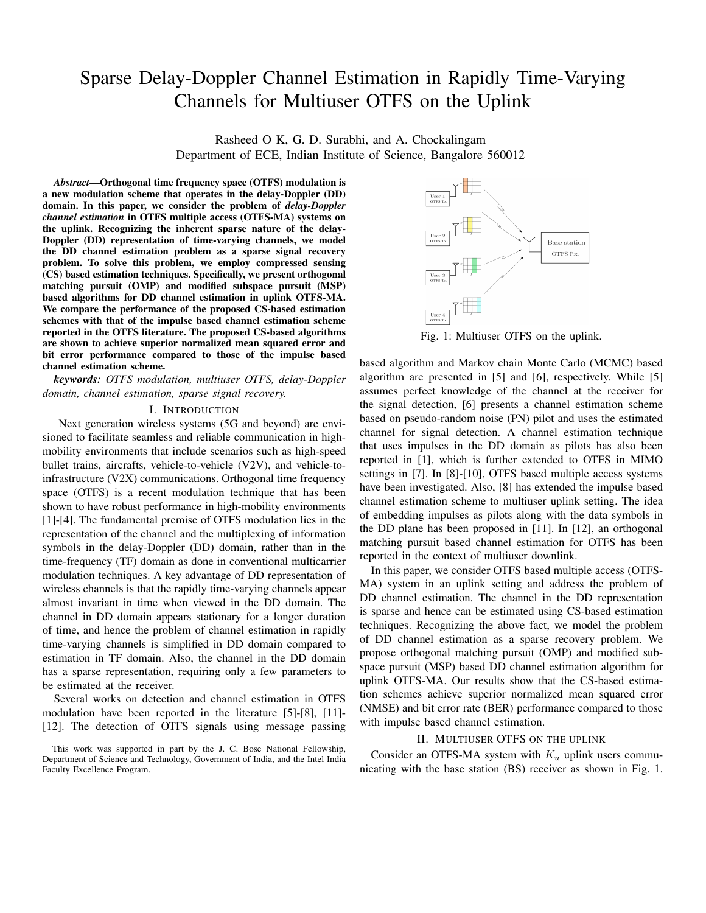# Sparse Delay-Doppler Channel Estimation in Rapidly Time-Varying Channels for Multiuser OTFS on the Uplink

Rasheed O K, G. D. Surabhi, and A. Chockalingam Department of ECE, Indian Institute of Science, Bangalore 560012

*Abstract*—Orthogonal time frequency space (OTFS) modulation is a new modulation scheme that operates in the delay-Doppler (DD) domain. In this paper, we consider the problem of *delay-Doppler channel estimation* in OTFS multiple access (OTFS-MA) systems on the uplink. Recognizing the inherent sparse nature of the delay-Doppler (DD) representation of time-varying channels, we model the DD channel estimation problem as a sparse signal recovery problem. To solve this problem, we employ compressed sensing (CS) based estimation techniques. Specifically, we present orthogonal matching pursuit (OMP) and modified subspace pursuit (MSP) based algorithms for DD channel estimation in uplink OTFS-MA. We compare the performance of the proposed CS-based estimation schemes with that of the impulse based channel estimation scheme reported in the OTFS literature. The proposed CS-based algorithms are shown to achieve superior normalized mean squared error and bit error performance compared to those of the impulse based channel estimation scheme.

*keywords: OTFS modulation, multiuser OTFS, delay-Doppler domain, channel estimation, sparse signal recovery.*

#### I. INTRODUCTION

Next generation wireless systems (5G and beyond) are envisioned to facilitate seamless and reliable communication in highmobility environments that include scenarios such as high-speed bullet trains, aircrafts, vehicle-to-vehicle (V2V), and vehicle-toinfrastructure (V2X) communications. Orthogonal time frequency space (OTFS) is a recent modulation technique that has been shown to have robust performance in high-mobility environments [1]-[4]. The fundamental premise of OTFS modulation lies in the representation of the channel and the multiplexing of information symbols in the delay-Doppler (DD) domain, rather than in the time-frequency (TF) domain as done in conventional multicarrier modulation techniques. A key advantage of DD representation of wireless channels is that the rapidly time-varying channels appear almost invariant in time when viewed in the DD domain. The channel in DD domain appears stationary for a longer duration of time, and hence the problem of channel estimation in rapidly time-varying channels is simplified in DD domain compared to estimation in TF domain. Also, the channel in the DD domain has a sparse representation, requiring only a few parameters to be estimated at the receiver.

Several works on detection and channel estimation in OTFS modulation have been reported in the literature [5]-[8], [11]- [12]. The detection of OTFS signals using message passing



Fig. 1: Multiuser OTFS on the uplink.

based algorithm and Markov chain Monte Carlo (MCMC) based algorithm are presented in [5] and [6], respectively. While [5] assumes perfect knowledge of the channel at the receiver for the signal detection, [6] presents a channel estimation scheme based on pseudo-random noise (PN) pilot and uses the estimated channel for signal detection. A channel estimation technique that uses impulses in the DD domain as pilots has also been reported in [1], which is further extended to OTFS in MIMO settings in [7]. In [8]-[10], OTFS based multiple access systems have been investigated. Also, [8] has extended the impulse based channel estimation scheme to multiuser uplink setting. The idea of embedding impulses as pilots along with the data symbols in the DD plane has been proposed in [11]. In [12], an orthogonal matching pursuit based channel estimation for OTFS has been reported in the context of multiuser downlink.

In this paper, we consider OTFS based multiple access (OTFS-MA) system in an uplink setting and address the problem of DD channel estimation. The channel in the DD representation is sparse and hence can be estimated using CS-based estimation techniques. Recognizing the above fact, we model the problem of DD channel estimation as a sparse recovery problem. We propose orthogonal matching pursuit (OMP) and modified subspace pursuit (MSP) based DD channel estimation algorithm for uplink OTFS-MA. Our results show that the CS-based estimation schemes achieve superior normalized mean squared error (NMSE) and bit error rate (BER) performance compared to those with impulse based channel estimation.

## II. MULTIUSER OTFS ON THE UPLINK

Consider an OTFS-MA system with *K<sup>u</sup>* uplink users communicating with the base station (BS) receiver as shown in Fig. 1.

This work was supported in part by the J. C. Bose National Fellowship, Department of Science and Technology, Government of India, and the Intel India Faculty Excellence Program.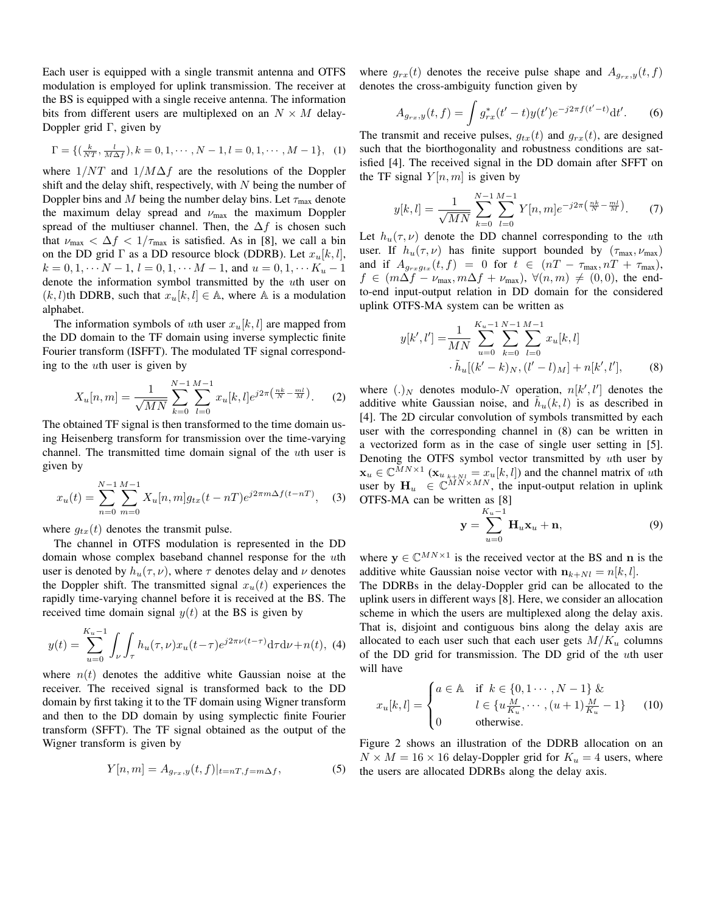Each user is equipped with a single transmit antenna and OTFS modulation is employed for uplink transmission. The receiver at the BS is equipped with a single receive antenna. The information bits from different users are multiplexed on an  $N \times M$  delay-Doppler grid  $\Gamma$ , given by

$$
\Gamma = \{ (\frac{k}{NT}, \frac{l}{M\Delta f}), k = 0, 1, \cdots, N - 1, l = 0, 1, \cdots, M - 1 \}, (1)
$$

where 1*/NT* and 1*/M*∆*f* are the resolutions of the Doppler shift and the delay shift, respectively, with *N* being the number of Doppler bins and *M* being the number delay bins. Let  $\tau_{\text{max}}$  denote the maximum delay spread and *ν*max the maximum Doppler spread of the multiuser channel. Then, the ∆*f* is chosen such that  $\nu_{\text{max}} < \Delta f < 1/\tau_{\text{max}}$  is satisfied. As in [8], we call a bin on the DD grid  $\Gamma$  as a DD resource block (DDRB). Let  $x_u[k, l]$ ,  $k = 0, 1, \cdots N - 1, l = 0, 1, \cdots M - 1,$  and  $u = 0, 1, \cdots K_u - 1$ denote the information symbol transmitted by the *u*th user on  $(k, l)$ th DDRB, such that  $x_u[k, l] \in A$ , where A is a modulation alphabet.

The information symbols of *u*th user  $x<sub>u</sub>[k, l]$  are mapped from the DD domain to the TF domain using inverse symplectic finite Fourier transform (ISFFT). The modulated TF signal corresponding to the *u*th user is given by

$$
X_u[n,m] = \frac{1}{\sqrt{MN}} \sum_{k=0}^{N-1} \sum_{l=0}^{M-1} x_u[k,l] e^{j2\pi \left(\frac{nk}{N} - \frac{ml}{M}\right)}.
$$
 (2)

The obtained TF signal is then transformed to the time domain using Heisenberg transform for transmission over the time-varying channel. The transmitted time domain signal of the *u*th user is given by

$$
x_u(t) = \sum_{n=0}^{N-1} \sum_{m=0}^{M-1} X_u[n,m] g_{tx}(t - nT) e^{j2\pi m \Delta f(t - nT)}, \quad (3)
$$

where  $g_{tx}(t)$  denotes the transmit pulse.

The channel in OTFS modulation is represented in the DD domain whose complex baseband channel response for the *u*th user is denoted by  $h_u(\tau, \nu)$ , where  $\tau$  denotes delay and  $\nu$  denotes the Doppler shift. The transmitted signal  $x<sub>u</sub>(t)$  experiences the rapidly time-varying channel before it is received at the BS. The received time domain signal  $y(t)$  at the BS is given by

$$
y(t) = \sum_{u=0}^{K_u - 1} \int_{\nu} \int_{\tau} h_u(\tau, \nu) x_u(t - \tau) e^{j2\pi \nu (t - \tau)} d\tau d\nu + n(t), \tag{4}
$$

where  $n(t)$  denotes the additive white Gaussian noise at the receiver. The received signal is transformed back to the DD domain by first taking it to the TF domain using Wigner transform and then to the DD domain by using symplectic finite Fourier transform (SFFT). The TF signal obtained as the output of the Wigner transform is given by

$$
Y[n,m] = A_{g_{rx},y}(t,f)|_{t=nT,f=m\Delta f},
$$
\n(5)

where  $g_{rx}(t)$  denotes the receive pulse shape and  $A_{g_{rx},y}(t,f)$ denotes the cross-ambiguity function given by

$$
A_{g_{rx},y}(t,f) = \int g_{rx}^*(t'-t)y(t')e^{-j2\pi f(t'-t)}\mathrm{d}t'.\tag{6}
$$

The transmit and receive pulses,  $g_{tx}(t)$  and  $g_{rx}(t)$ , are designed such that the biorthogonality and robustness conditions are satisfied [4]. The received signal in the DD domain after SFFT on the TF signal  $Y[n, m]$  is given by

$$
y[k,l] = \frac{1}{\sqrt{MN}} \sum_{k=0}^{N-1} \sum_{l=0}^{M-1} Y[n,m] e^{-j2\pi \left(\frac{nk}{N} - \frac{ml}{M}\right)}.
$$
 (7)

Let  $h_u(\tau, \nu)$  denote the DD channel corresponding to the *u*th user. If  $h_u(\tau, \nu)$  has finite support bounded by  $(\tau_{\text{max}}, \nu_{\text{max}})$ and if  $A_{g_{rx}g_{tx}}(t, f) = 0$  for  $t \in (nT - \tau_{\max}, nT + \tau_{\max})$ ,  $f \in (m\Delta f - \nu_{\text{max}}, m\Delta f + \nu_{\text{max}}), \ \forall (n, m) \neq (0, 0), \text{ the end-}$ to-end input-output relation in DD domain for the considered uplink OTFS-MA system can be written as

$$
y[k',l'] = \frac{1}{MN} \sum_{u=0}^{K_u-1} \sum_{k=0}^{N-1} \sum_{l=0}^{M-1} x_u[k,l] \cdot \tilde{h}_u[(k'-k)_N, (l'-l)_M] + n[k', l'],
$$
 (8)

where  $(.)_N$  denotes modulo-*N* operation,  $n[k', l']$  denotes the additive white Gaussian noise, and  $\tilde{h}_u(k, l)$  is as described in [4]. The 2D circular convolution of symbols transmitted by each user with the corresponding channel in (8) can be written in a vectorized form as in the case of single user setting in [5]. Denoting the OTFS symbol vector transmitted by *u*th user by  $\mathbf{x}_u \in \mathbb{C}^{MN \times 1}$  ( $\mathbf{x}_u|_{k \times N} = x_u[k, l]$ ) and the channel matrix of *uth* user by  $\mathbf{H}_u \in \mathbb{C}^{MN \times MN}$ , the input-output relation in uplink OTFS-MA can be written as [8]

$$
\mathbf{y} = \sum_{u=0}^{K_u - 1} \mathbf{H}_u \mathbf{x}_u + \mathbf{n},\tag{9}
$$

where  $y \in \mathbb{C}^{MN \times 1}$  is the received vector at the BS and **n** is the additive white Gaussian noise vector with  $n_{k+N} = n[k, l]$ .

The DDRBs in the delay-Doppler grid can be allocated to the uplink users in different ways [8]. Here, we consider an allocation scheme in which the users are multiplexed along the delay axis. That is, disjoint and contiguous bins along the delay axis are allocated to each user such that each user gets  $M/K_u$  columns of the DD grid for transmission. The DD grid of the *u*th user will have

$$
x_u[k, l] = \begin{cases} a \in \mathbb{A} & \text{if } k \in \{0, 1 \cdots, N-1\} \ \& \\ l \in \{u \frac{M}{K_u}, \cdots, (u+1) \frac{M}{K_u} - 1\} \\ 0 & \text{otherwise.} \end{cases} \tag{10}
$$

Figure 2 shows an illustration of the DDRB allocation on an  $N \times M = 16 \times 16$  delay-Doppler grid for  $K_u = 4$  users, where the users are allocated DDRBs along the delay axis.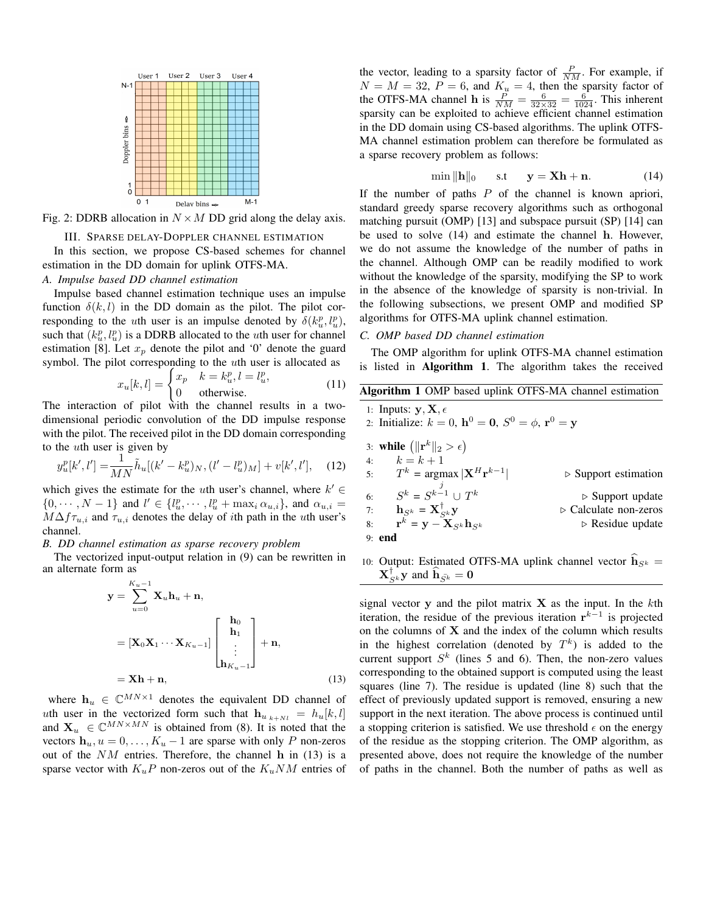

Fig. 2: DDRB allocation in  $N \times M$  DD grid along the delay axis.

#### III. SPARSE DELAY-DOPPLER CHANNEL ESTIMATION

In this section, we propose CS-based schemes for channel estimation in the DD domain for uplink OTFS-MA.

# *A. Impulse based DD channel estimation*

Impulse based channel estimation technique uses an impulse function  $\delta(k, l)$  in the DD domain as the pilot. The pilot corresponding to the *u*th user is an impulse denoted by  $\delta(k_u^p, l_u^p)$ , such that  $(k_u^p, l_u^p)$  is a DDRB allocated to the *u*th user for channel estimation [8]. Let  $x_p$  denote the pilot and '0' denote the guard symbol. The pilot corresponding to the *u*th user is allocated as

$$
x_u[k, l] = \begin{cases} x_p & k = k_u^p, l = l_u^p, \\ 0 & \text{otherwise.} \end{cases}
$$
 (11)

The interaction of pilot with the channel results in a twodimensional periodic convolution of the DD impulse response with the pilot. The received pilot in the DD domain corresponding to the *u*th user is given by

$$
y_u^p[k', l'] = \frac{1}{MN}\tilde{h}_u[(k'-k_u^p)_N, (l'-l_u^p)_M] + v[k', l'], \quad (12)
$$

which gives the estimate for the *u*th user's channel, where  $k' \in$  $\{0,\dotsb,N-1\}$  and  $l' \in \{l_u^p,\dotsb,l_u^p+\max_i \alpha_{u,i}\}$ , and  $\alpha_{u,i} =$  $M\Delta f_{\tau_{u,i}}$  and  $\tau_{u,i}$  denotes the delay of *i*th path in the *u*th user's channel.

## *B. DD channel estimation as sparse recovery problem*

The vectorized input-output relation in (9) can be rewritten in an alternate form as

$$
\mathbf{y} = \sum_{u=0}^{K_u - 1} \mathbf{X}_u \mathbf{h}_u + \mathbf{n},
$$
  
\n
$$
= [\mathbf{X}_0 \mathbf{X}_1 \cdots \mathbf{X}_{K_u - 1}] \begin{bmatrix} \mathbf{h}_0 \\ \mathbf{h}_1 \\ \vdots \\ \mathbf{h}_{K_u - 1} \end{bmatrix} + \mathbf{n},
$$
  
\n
$$
= \mathbf{X} \mathbf{h} + \mathbf{n},
$$
\n(13)

where  $h_u \in \mathbb{C}^{MN \times 1}$  denotes the equivalent DD channel of *u*th user in the vectorized form such that  $h_u$ <sub>k+*Nl*</sub> =  $h_u[k, l]$ and  $X_u \in \mathbb{C}^{MN \times MN}$  is obtained from (8). It is noted that the vectors  $h_u, u = 0, \ldots, K_u - 1$  are sparse with only *P* non-zeros out of the *NM* entries. Therefore, the channel **h** in (13) is a sparse vector with  $K_uP$  non-zeros out of the  $K_uNM$  entries of

the vector, leading to a sparsity factor of  $\frac{P}{NM}$ . For example, if  $N = M = 32$ ,  $P = 6$ , and  $K_u = 4$ , then the sparsity factor of the OTFS-MA channel **h** is  $\frac{P}{NM} = \frac{6}{32 \times 32} = \frac{6}{1024}$ . This inherent sparsity can be exploited to achieve efficient channel estimation in the DD domain using CS-based algorithms. The uplink OTFS-MA channel estimation problem can therefore be formulated as a sparse recovery problem as follows:

$$
\min \| \mathbf{h} \|_0 \quad \text{s.t} \quad \mathbf{y} = \mathbf{X} \mathbf{h} + \mathbf{n}.
$$
 (14)

If the number of paths *P* of the channel is known apriori, standard greedy sparse recovery algorithms such as orthogonal matching pursuit (OMP) [13] and subspace pursuit (SP) [14] can be used to solve (14) and estimate the channel **h**. However, we do not assume the knowledge of the number of paths in the channel. Although OMP can be readily modified to work without the knowledge of the sparsity, modifying the SP to work in the absence of the knowledge of sparsity is non-trivial. In the following subsections, we present OMP and modified SP algorithms for OTFS-MA uplink channel estimation.

# *C. OMP based DD channel estimation*

The OMP algorithm for uplink OTFS-MA channel estimation is listed in Algorithm 1. The algorithm takes the received

| Algorithm 1 OMP based uplink OTFS-MA channel estimation                 |
|-------------------------------------------------------------------------|
| 1: Inputs: $y, X, \epsilon$                                             |
| 2: Initialize: $k = 0$ , $h^0 = 0$ , $S^0 = \phi$ , $r^0 = y$           |
| 3: <b>while</b> $(\ \mathbf{r}^{k}\ _{2} > \epsilon)$<br>4: $k = k + 1$ |

| 5:             | $T^k$ = argmax $ \mathbf{X}^H \mathbf{r}^{k-1} $                   | $\triangleright$ Support estimation  |  |  |
|----------------|--------------------------------------------------------------------|--------------------------------------|--|--|
| 6 <sup>1</sup> | $S^k = S^{k-1} \cup T^k$                                           | $\triangleright$ Support update      |  |  |
| 7:             | $\mathbf{h}_{S^k} = \mathbf{X}_{S^k}^{\dagger} \mathbf{y}$         | $\triangleright$ Calculate non-zeros |  |  |
|                | 8: $\mathbf{r}^k = \mathbf{y} - \mathbf{X}_{S^k} \mathbf{h}_{S^k}$ | $\triangleright$ Residue update      |  |  |
| $9:$ end       |                                                                    |                                      |  |  |

10: Output: Estimated OTFS-MA uplink channel vector  $h_{S^k}$  =  $\mathbf{X}_{S^k}^{\mathsf{T}} \mathbf{y}$  and  $\mathbf{h}_{\bar{S^k}} = \mathbf{0}$ 

signal vector **y** and the pilot matrix **X** as the input. In the *k*th iteration, the residue of the previous iteration **r** *k−*1 is projected on the columns of **X** and the index of the column which results in the highest correlation (denoted by  $T^k$ ) is added to the current support  $S<sup>k</sup>$  (lines 5 and 6). Then, the non-zero values corresponding to the obtained support is computed using the least squares (line 7). The residue is updated (line 8) such that the effect of previously updated support is removed, ensuring a new support in the next iteration. The above process is continued until a stopping criterion is satisfied. We use threshold  $\epsilon$  on the energy of the residue as the stopping criterion. The OMP algorithm, as presented above, does not require the knowledge of the number of paths in the channel. Both the number of paths as well as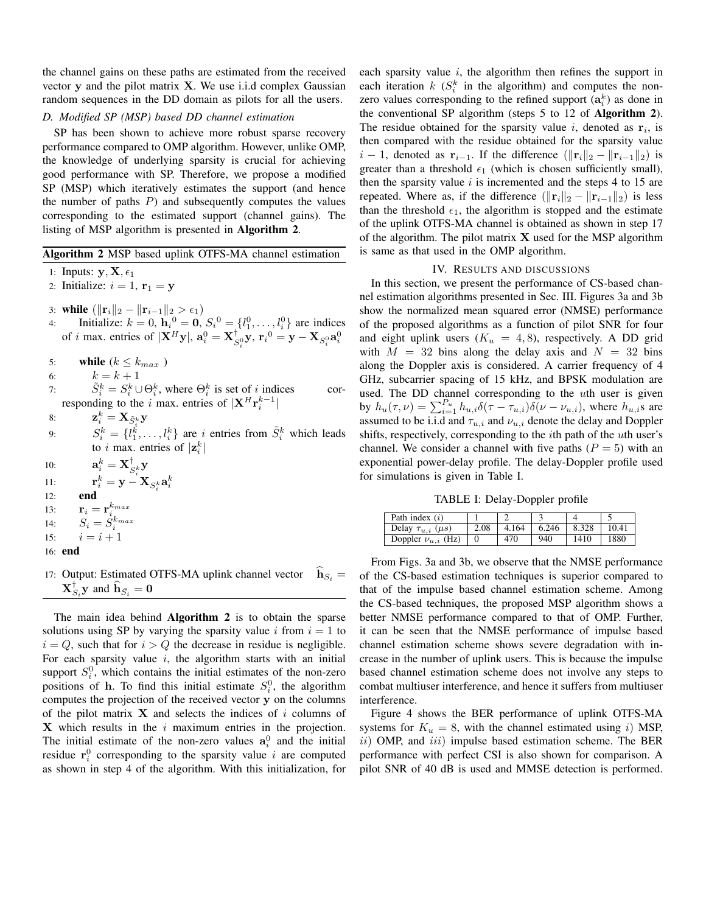the channel gains on these paths are estimated from the received vector **y** and the pilot matrix **X**. We use i.i.d complex Gaussian random sequences in the DD domain as pilots for all the users.

## *D. Modified SP (MSP) based DD channel estimation*

SP has been shown to achieve more robust sparse recovery performance compared to OMP algorithm. However, unlike OMP, the knowledge of underlying sparsity is crucial for achieving good performance with SP. Therefore, we propose a modified SP (MSP) which iteratively estimates the support (and hence the number of paths *P*) and subsequently computes the values corresponding to the estimated support (channel gains). The listing of MSP algorithm is presented in Algorithm 2.

## Algorithm 2 MSP based uplink OTFS-MA channel estimation

- 1: Inputs:  $\mathbf{y}, \mathbf{X}, \epsilon_1$
- 2: Initialize:  $i = 1$ ,  $\mathbf{r}_1 = \mathbf{y}$
- 3: while  $(\|\mathbf{r}_i\|_2 \|\mathbf{r}_{i-1}\|_2 > \epsilon_1)$
- 4: Initialize:  $k = 0$ ,  $h_i^0 = 0$ ,  $S_i^0 = \{l_1^0, \ldots, l_i^0\}$  are indices of *i* max. entries of  $|\mathbf{X}^H \mathbf{y}|$ ,  $\mathbf{a}_i^0 = \mathbf{X}_{S_i^0}^{\dagger} \mathbf{y}$ ,  $\mathbf{r}_i^0 = \mathbf{y} - \mathbf{X}_{S_i^0} \mathbf{a}_i^0$

5: while  $(k \leq k_{max})$ 

- 6:  $k = k + 1$
- 7:  $\tilde{S}_i^k = S_i^k \cup \Theta_i^k$ , where  $\Theta_i^k$  is set of *i* indices corresponding to the *i* max. entries of  $|\mathbf{X}^H \mathbf{r}_i^{k-1}|$
- 8:  $\mathbf{z}_i^k = \mathbf{X}_{\tilde{S}_i^k} \mathbf{y}$
- 9:  $S_i^k = \{l_1^k, \ldots, l_i^k\}$  are *i* entries from  $\tilde{S}_i^k$  which leads to *i* max. entries of  $|\mathbf{z}_i^k|$
- 10:  $\mathbf{a}_i^k = \mathbf{X}_{S_i^k}^{\dagger} \mathbf{y}$
- $\mathbf{y}^k_i = \mathbf{y} \mathbf{X}_{S^k_i} \mathbf{a}^k_i$ 11: **r**
- 12: end
- 13:  $\mathbf{r}_i = \mathbf{r}_i^{k_{max}}$ <br>
14:  $S_i = S_i^{k_{max}}$ <br>
15:  $i = i + 1$
- 
- 
- 16: end
- 17: Output: Estimated OTFS-MA uplink channel vector  $\mathbf{h}_{S_i} =$  $\mathbf{X}_{S_i}^{\mathsf{T}} \mathbf{y}$  and  $\mathbf{h}_{\bar{S_i}} = \mathbf{0}$

The main idea behind **Algorithm 2** is to obtain the sparse solutions using SP by varying the sparsity value  $i$  from  $i = 1$  to  $i = Q$ , such that for  $i > Q$  the decrease in residue is negligible. For each sparsity value *i*, the algorithm starts with an initial support  $S_i^0$ , which contains the initial estimates of the non-zero positions of **h**. To find this initial estimate  $S_i^0$ , the algorithm computes the projection of the received vector **y** on the columns of the pilot matrix **X** and selects the indices of *i* columns of **X** which results in the *i* maximum entries in the projection. The initial estimate of the non-zero values  $a_i^0$  and the initial residue  $\mathbf{r}_i^0$  corresponding to the sparsity value *i* are computed as shown in step 4 of the algorithm. With this initialization, for each sparsity value *i*, the algorithm then refines the support in each iteration  $k$  ( $S_i^k$  in the algorithm) and computes the nonzero values corresponding to the refined support  $(a_i^k)$  as done in the conventional SP algorithm (steps 5 to 12 of Algorithm 2). The residue obtained for the sparsity value  $i$ , denoted as  $r_i$ , is then compared with the residue obtained for the sparsity value  $i - 1$ , denoted as  $\mathbf{r}_{i-1}$ . If the difference  $(\|\mathbf{r}_i\|_2 - \|\mathbf{r}_{i-1}\|_2)$  is greater than a threshold  $\epsilon_1$  (which is chosen sufficiently small), then the sparsity value *i* is incremented and the steps 4 to 15 are repeated. Where as, if the difference  $(\|\mathbf{r}_i\|_2 - \|\mathbf{r}_{i-1}\|_2)$  is less than the threshold  $\epsilon_1$ , the algorithm is stopped and the estimate of the uplink OTFS-MA channel is obtained as shown in step 17 of the algorithm. The pilot matrix **X** used for the MSP algorithm is same as that used in the OMP algorithm.

## IV. RESULTS AND DISCUSSIONS

In this section, we present the performance of CS-based channel estimation algorithms presented in Sec. III. Figures 3a and 3b show the normalized mean squared error (NMSE) performance of the proposed algorithms as a function of pilot SNR for four and eight uplink users  $(K_u = 4, 8)$ , respectively. A DD grid with  $M = 32$  bins along the delay axis and  $N = 32$  bins along the Doppler axis is considered. A carrier frequency of 4 GHz, subcarrier spacing of 15 kHz, and BPSK modulation are used. The DD channel corresponding to the *u*th user is given by  $h_u(\tau, \nu) = \sum_{i=1}^{P_u} h_{u,i} \delta(\tau - \tau_{u,i}) \delta(\nu - \nu_{u,i})$ , where  $h_{u,i}$ s are assumed to be i.i.d and  $\tau_{u,i}$  and  $\nu_{u,i}$  denote the delay and Doppler shifts, respectively, corresponding to the *i*th path of the *u*th user's channel. We consider a channel with five paths  $(P = 5)$  with an exponential power-delay profile. The delay-Doppler profile used for simulations is given in Table I.

TABLE I: Delay-Doppler profile

| Path index $(i)$               |      |       |       |       |       |
|--------------------------------|------|-------|-------|-------|-------|
| Delay $\tau_{u,i}$ ( $\mu s$ ) | 2.08 | 4.164 | 6.246 | 8.328 | 10.41 |
| Doppler $\nu_{u,i}$ (Hz)       |      | 470   | 940   | 1410  | 1880  |

From Figs. 3a and 3b, we observe that the NMSE performance of the CS-based estimation techniques is superior compared to that of the impulse based channel estimation scheme. Among the CS-based techniques, the proposed MSP algorithm shows a better NMSE performance compared to that of OMP. Further, it can be seen that the NMSE performance of impulse based channel estimation scheme shows severe degradation with increase in the number of uplink users. This is because the impulse based channel estimation scheme does not involve any steps to combat multiuser interference, and hence it suffers from multiuser interference.

Figure 4 shows the BER performance of uplink OTFS-MA systems for  $K_u = 8$ , with the channel estimated using *i*) MSP, *ii*) OMP, and *iii*) impulse based estimation scheme. The BER performance with perfect CSI is also shown for comparison. A pilot SNR of 40 dB is used and MMSE detection is performed.